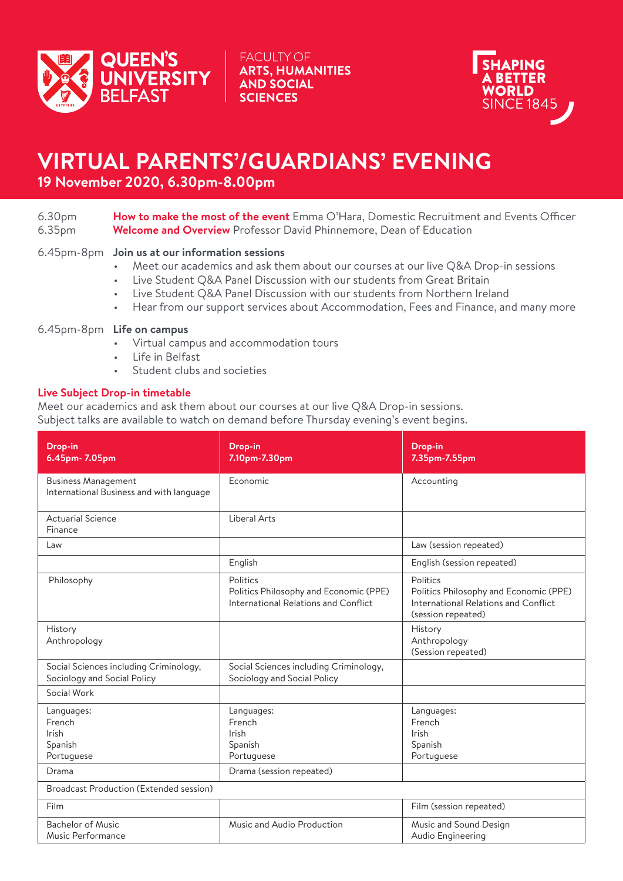

**FACULTY OF ARTS, HUMANITIES AND SOCIAL SCIENCES** 



# **VIRTUAL PARENTS'/GUARDIANS' EVENING**

**19 November 2020, 6.30pm-8.00pm**

| 6.30pm             | <b>How to make the most of the event</b> Emma O'Hara, Domestic Recruitment and Events Officer |
|--------------------|-----------------------------------------------------------------------------------------------|
| 6.35 <sub>pm</sub> | <b>Welcome and Overview</b> Professor David Phinnemore, Dean of Education                     |

### 6.45pm-8pm **Join us at our information sessions**

- Meet our academics and ask them about our courses at our live Q&A Drop-in sessions
- Live Student Q&A Panel Discussion with our students from Great Britain
- Live Student Q&A Panel Discussion with our students from Northern Ireland
- Hear from our support services about Accommodation, Fees and Finance, and many more

### 6.45pm-8pm **Life on campus**

- Virtual campus and accommodation tours
- Life in Belfast
- Student clubs and societies

#### **Live Subject Drop-in timetable**

Meet our academics and ask them about our courses at our live Q&A Drop-in sessions. Subject talks are available to watch on demand before Thursday evening's event begins.

| Drop-in<br>6.45pm- 7.05pm                                              | Drop-in<br>7.10pm-7.30pm                                                                   | Drop-in<br>7.35pm-7.55pm                                                                                         |
|------------------------------------------------------------------------|--------------------------------------------------------------------------------------------|------------------------------------------------------------------------------------------------------------------|
| <b>Business Management</b><br>International Business and with language | Fconomic                                                                                   | Accounting                                                                                                       |
| <b>Actuarial Science</b><br>Finance                                    | Liberal Arts                                                                               |                                                                                                                  |
| Law                                                                    |                                                                                            | Law (session repeated)                                                                                           |
|                                                                        | English                                                                                    | English (session repeated)                                                                                       |
| Philosophy                                                             | Politics<br>Politics Philosophy and Economic (PPE)<br>International Relations and Conflict | Politics<br>Politics Philosophy and Economic (PPE)<br>International Relations and Conflict<br>(session repeated) |
| History<br>Anthropology                                                |                                                                                            | History<br>Anthropology<br>(Session repeated)                                                                    |
| Social Sciences including Criminology,<br>Sociology and Social Policy  | Social Sciences including Criminology,<br>Sociology and Social Policy                      |                                                                                                                  |
| Social Work                                                            |                                                                                            |                                                                                                                  |
| Languages:<br>French<br><b>Irish</b><br>Spanish<br>Portuguese          | Languages:<br>French<br>Irish<br>Spanish<br>Portuguese                                     | Languages:<br>French<br>Irish<br>Spanish<br>Portuguese                                                           |
| Drama                                                                  | Drama (session repeated)                                                                   |                                                                                                                  |
| Broadcast Production (Extended session)                                |                                                                                            |                                                                                                                  |
| Film                                                                   |                                                                                            | Film (session repeated)                                                                                          |
| <b>Bachelor of Music</b><br>Music Performance                          | Music and Audio Production                                                                 | Music and Sound Design<br>Audio Engineering                                                                      |